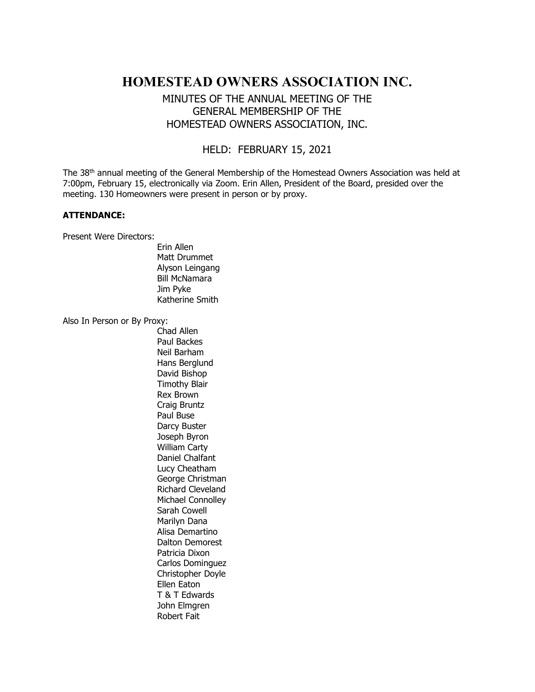# HOMESTEAD OWNERS ASSOCIATION INC.

# MINUTES OF THE ANNUAL MEETING OF THE GENERAL MEMBERSHIP OF THE HOMESTEAD OWNERS ASSOCIATION, INC.

## HELD: FEBRUARY 15, 2021

The 38<sup>th</sup> annual meeting of the General Membership of the Homestead Owners Association was held at 7:00pm, February 15, electronically via Zoom. Erin Allen, President of the Board, presided over the meeting. 130 Homeowners were present in person or by proxy.

#### ATTENDANCE:

Present Were Directors:

 Erin Allen Matt Drummet Alyson Leingang Bill McNamara Jim Pyke Katherine Smith

Also In Person or By Proxy:

 Chad Allen Paul Backes Neil Barham Hans Berglund David Bishop Timothy Blair Rex Brown Craig Bruntz Paul Buse Darcy Buster Joseph Byron William Carty Daniel Chalfant Lucy Cheatham George Christman Richard Cleveland Michael Connolley Sarah Cowell Marilyn Dana Alisa Demartino Dalton Demorest Patricia Dixon Carlos Dominguez Christopher Doyle Ellen Eaton T & T Edwards John Elmgren Robert Fait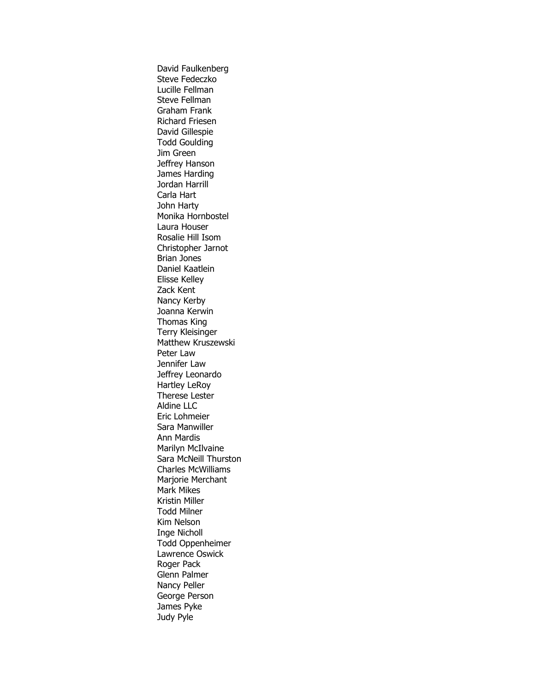David Faulkenberg Steve Fedeczko Lucille Fellman Steve Fellman Graham Frank Richard Friesen David Gillespie Todd Goulding Jim Green Jeffrey Hanson James Harding Jordan Harrill Carla Hart John Harty Monika Hornbostel Laura Houser Rosalie Hill Isom Christopher Jarnot Brian Jones Daniel Kaatlein Elisse Kelley Zack Kent Nancy Kerby Joanna Kerwin Thomas King Terry Kleisinger Matthew Kruszewski Peter Law Jennifer Law Jeffrey Leonardo Hartley LeRoy Therese Lester Aldine LLC Eric Lohmeier Sara Manwiller Ann Mardis Marilyn McIlvaine Sara McNeill Thurston Charles McWilliams Marjorie Merchant Mark Mikes Kristin Miller Todd Milner Kim Nelson Inge Nicholl Todd Oppenheimer Lawrence Oswick Roger Pack Glenn Palmer Nancy Peller George Person James Pyke Judy Pyle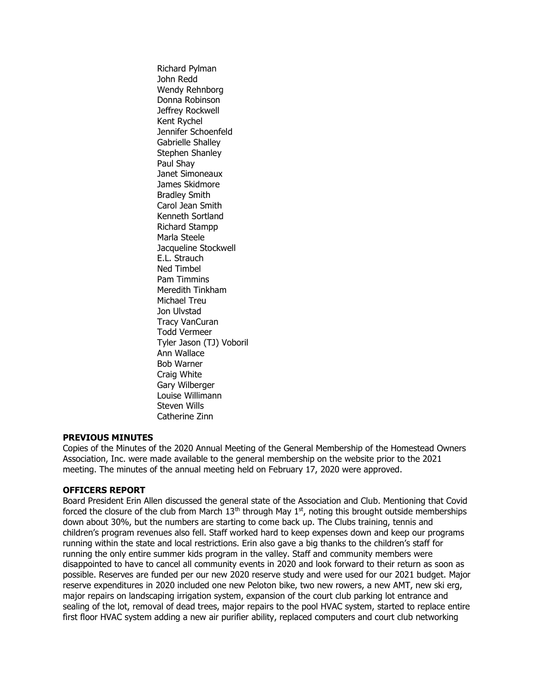Richard Pylman John Redd Wendy Rehnborg Donna Robinson Jeffrey Rockwell Kent Rychel Jennifer Schoenfeld Gabrielle Shalley Stephen Shanley Paul Shay Janet Simoneaux James Skidmore Bradley Smith Carol Jean Smith Kenneth Sortland Richard Stampp Marla Steele Jacqueline Stockwell E.L. Strauch Ned Timbel Pam Timmins Meredith Tinkham Michael Treu Jon Ulvstad Tracy VanCuran Todd Vermeer Tyler Jason (TJ) Voboril Ann Wallace Bob Warner Craig White Gary Wilberger Louise Willimann Steven Wills Catherine Zinn

### PREVIOUS MINUTES

Copies of the Minutes of the 2020 Annual Meeting of the General Membership of the Homestead Owners Association, Inc. were made available to the general membership on the website prior to the 2021 meeting. The minutes of the annual meeting held on February 17, 2020 were approved.

#### OFFICERS REPORT

Board President Erin Allen discussed the general state of the Association and Club. Mentioning that Covid forced the closure of the club from March  $13<sup>th</sup>$  through May  $1<sup>st</sup>$ , noting this brought outside memberships down about 30%, but the numbers are starting to come back up. The Clubs training, tennis and children's program revenues also fell. Staff worked hard to keep expenses down and keep our programs running within the state and local restrictions. Erin also gave a big thanks to the children's staff for running the only entire summer kids program in the valley. Staff and community members were disappointed to have to cancel all community events in 2020 and look forward to their return as soon as possible. Reserves are funded per our new 2020 reserve study and were used for our 2021 budget. Major reserve expenditures in 2020 included one new Peloton bike, two new rowers, a new AMT, new ski erg, major repairs on landscaping irrigation system, expansion of the court club parking lot entrance and sealing of the lot, removal of dead trees, major repairs to the pool HVAC system, started to replace entire first floor HVAC system adding a new air purifier ability, replaced computers and court club networking